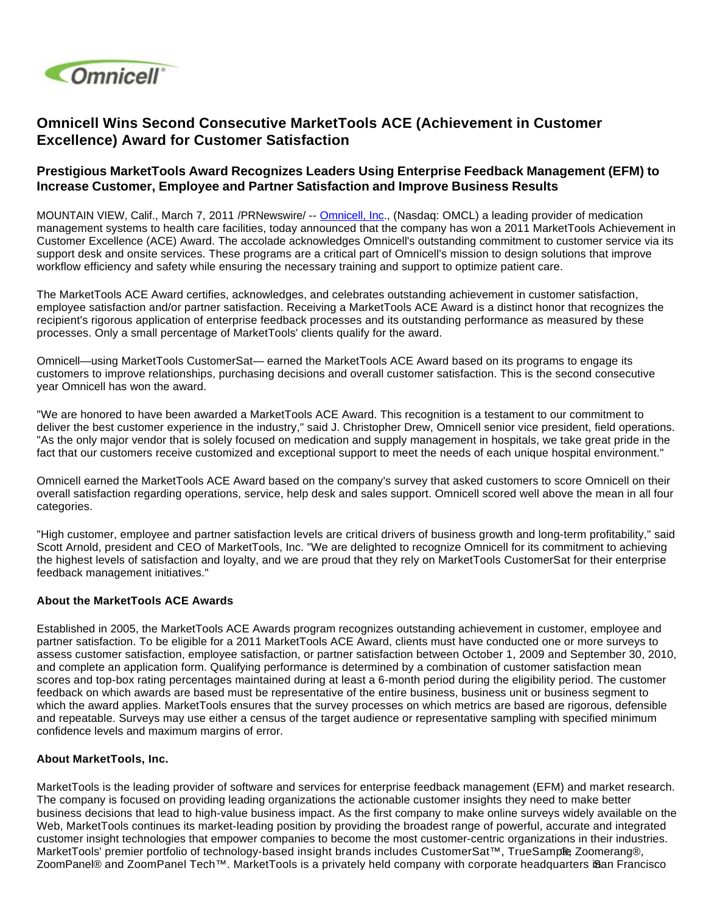

# **Omnicell Wins Second Consecutive MarketTools ACE (Achievement in Customer Excellence) Award for Customer Satisfaction**

## **Prestigious MarketTools Award Recognizes Leaders Using Enterprise Feedback Management (EFM) to Increase Customer, Employee and Partner Satisfaction and Improve Business Results**

MOUNTAIN VIEW, Calif., March 7, 2011 /PRNewswire/ -- [Omnicell, Inc](http://www.omnicell.com/)., (Nasdaq: OMCL) a leading provider of medication management systems to health care facilities, today announced that the company has won a 2011 MarketTools Achievement in Customer Excellence (ACE) Award. The accolade acknowledges Omnicell's outstanding commitment to customer service via its support desk and onsite services. These programs are a critical part of Omnicell's mission to design solutions that improve workflow efficiency and safety while ensuring the necessary training and support to optimize patient care.

The MarketTools ACE Award certifies, acknowledges, and celebrates outstanding achievement in customer satisfaction, employee satisfaction and/or partner satisfaction. Receiving a MarketTools ACE Award is a distinct honor that recognizes the recipient's rigorous application of enterprise feedback processes and its outstanding performance as measured by these processes. Only a small percentage of MarketTools' clients qualify for the award.

Omnicell—using MarketTools CustomerSat— earned the MarketTools ACE Award based on its programs to engage its customers to improve relationships, purchasing decisions and overall customer satisfaction. This is the second consecutive year Omnicell has won the award.

"We are honored to have been awarded a MarketTools ACE Award. This recognition is a testament to our commitment to deliver the best customer experience in the industry," said J. Christopher Drew, Omnicell senior vice president, field operations. "As the only major vendor that is solely focused on medication and supply management in hospitals, we take great pride in the fact that our customers receive customized and exceptional support to meet the needs of each unique hospital environment."

Omnicell earned the MarketTools ACE Award based on the company's survey that asked customers to score Omnicell on their overall satisfaction regarding operations, service, help desk and sales support. Omnicell scored well above the mean in all four categories.

"High customer, employee and partner satisfaction levels are critical drivers of business growth and long-term profitability," said Scott Arnold, president and CEO of MarketTools, Inc. "We are delighted to recognize Omnicell for its commitment to achieving the highest levels of satisfaction and loyalty, and we are proud that they rely on MarketTools CustomerSat for their enterprise feedback management initiatives."

#### **About the MarketTools ACE Awards**

Established in 2005, the MarketTools ACE Awards program recognizes outstanding achievement in customer, employee and partner satisfaction. To be eligible for a 2011 MarketTools ACE Award, clients must have conducted one or more surveys to assess customer satisfaction, employee satisfaction, or partner satisfaction between October 1, 2009 and September 30, 2010, and complete an application form. Qualifying performance is determined by a combination of customer satisfaction mean scores and top-box rating percentages maintained during at least a 6-month period during the eligibility period. The customer feedback on which awards are based must be representative of the entire business, business unit or business segment to which the award applies. MarketTools ensures that the survey processes on which metrics are based are rigorous, defensible and repeatable. Surveys may use either a census of the target audience or representative sampling with specified minimum confidence levels and maximum margins of error.

#### **About MarketTools, Inc.**

MarketTools is the leading provider of software and services for enterprise feedback management (EFM) and market research. The company is focused on providing leading organizations the actionable customer insights they need to make better business decisions that lead to high-value business impact. As the first company to make online surveys widely available on the Web, MarketTools continues its market-leading position by providing the broadest range of powerful, accurate and integrated customer insight technologies that empower companies to become the most customer-centric organizations in their industries. MarketTools' premier portfolio of technology-based insight brands includes CustomerSat™, TrueSamp®, Zoomerang®, ZoomPanel® and ZoomPanel Tech™. MarketTools is a privately held company with corporate headquarters i§an Francisco